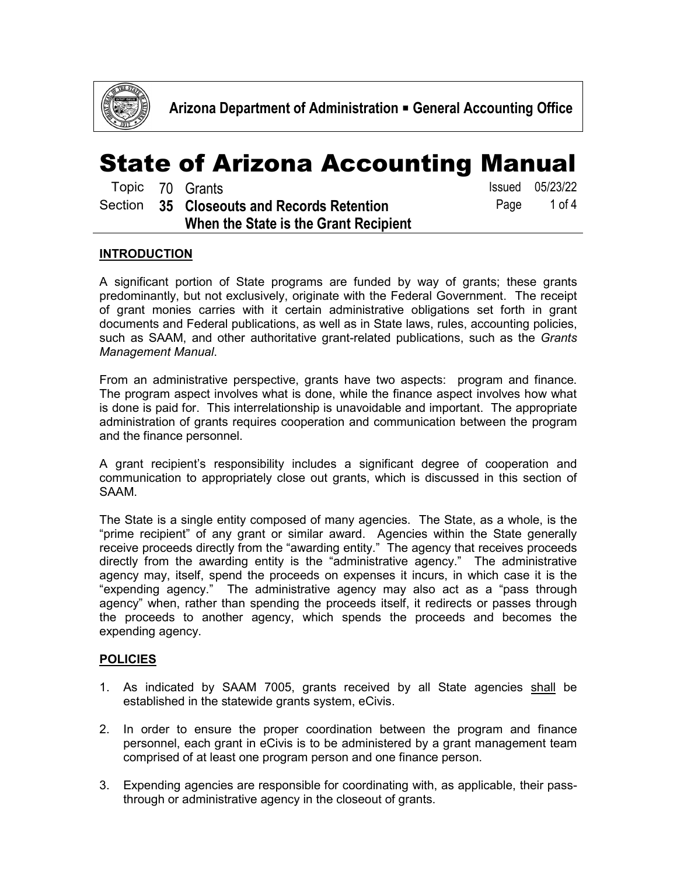

|  | Topic 70 Grants                            |      | <b>Issued</b> 05/23/22 |
|--|--------------------------------------------|------|------------------------|
|  | Section 35 Closeouts and Records Retention | Page | 1 of 4                 |
|  | When the State is the Grant Recipient      |      |                        |

#### **INTRODUCTION**

A significant portion of State programs are funded by way of grants; these grants predominantly, but not exclusively, originate with the Federal Government. The receipt of grant monies carries with it certain administrative obligations set forth in grant documents and Federal publications, as well as in State laws, rules, accounting policies, such as SAAM, and other authoritative grant-related publications, such as the *Grants Management Manual*.

From an administrative perspective, grants have two aspects: program and finance. The program aspect involves what is done, while the finance aspect involves how what is done is paid for. This interrelationship is unavoidable and important. The appropriate administration of grants requires cooperation and communication between the program and the finance personnel.

A grant recipient's responsibility includes a significant degree of cooperation and communication to appropriately close out grants, which is discussed in this section of SAAM.

The State is a single entity composed of many agencies. The State, as a whole, is the "prime recipient" of any grant or similar award. Agencies within the State generally receive proceeds directly from the "awarding entity." The agency that receives proceeds directly from the awarding entity is the "administrative agency." The administrative agency may, itself, spend the proceeds on expenses it incurs, in which case it is the "expending agency." The administrative agency may also act as a "pass through agency" when, rather than spending the proceeds itself, it redirects or passes through the proceeds to another agency, which spends the proceeds and becomes the expending agency.

#### **POLICIES**

- 1. As indicated by SAAM 7005, grants received by all State agencies shall be established in the statewide grants system, eCivis.
- 2. In order to ensure the proper coordination between the program and finance personnel, each grant in eCivis is to be administered by a grant management team comprised of at least one program person and one finance person.
- 3. Expending agencies are responsible for coordinating with, as applicable, their passthrough or administrative agency in the closeout of grants.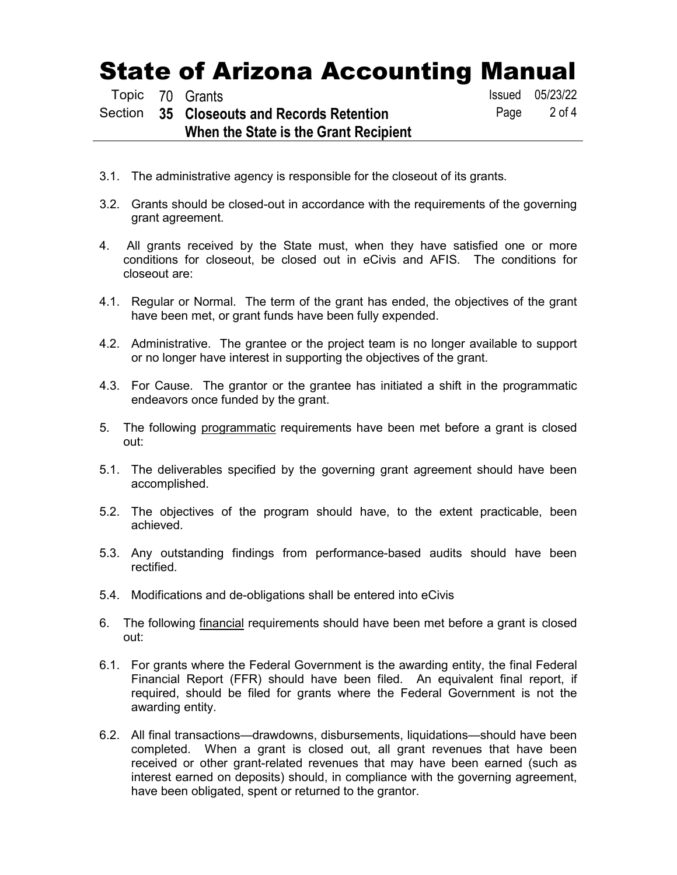|  | Topic 70 Grants                            |      | <b>Issued</b> 05/23/22 |
|--|--------------------------------------------|------|------------------------|
|  | Section 35 Closeouts and Records Retention | Page | 2 of 4                 |
|  | When the State is the Grant Recipient      |      |                        |
|  |                                            |      |                        |

- 3.1. The administrative agency is responsible for the closeout of its grants.
- 3.2. Grants should be closed-out in accordance with the requirements of the governing grant agreement.
- 4. All grants received by the State must, when they have satisfied one or more conditions for closeout, be closed out in eCivis and AFIS. The conditions for closeout are:
- 4.1. Regular or Normal. The term of the grant has ended, the objectives of the grant have been met, or grant funds have been fully expended.
- 4.2. Administrative. The grantee or the project team is no longer available to support or no longer have interest in supporting the objectives of the grant.
- 4.3. For Cause. The grantor or the grantee has initiated a shift in the programmatic endeavors once funded by the grant.
- 5. The following programmatic requirements have been met before a grant is closed out:
- 5.1. The deliverables specified by the governing grant agreement should have been accomplished.
- 5.2. The objectives of the program should have, to the extent practicable, been achieved.
- 5.3. Any outstanding findings from performance-based audits should have been rectified.
- 5.4. Modifications and de-obligations shall be entered into eCivis
- 6. The following financial requirements should have been met before a grant is closed out:
- 6.1. For grants where the Federal Government is the awarding entity, the final Federal Financial Report (FFR) should have been filed. An equivalent final report, if required, should be filed for grants where the Federal Government is not the awarding entity.
- 6.2. All final transactions—drawdowns, disbursements, liquidations—should have been completed. When a grant is closed out, all grant revenues that have been received or other grant-related revenues that may have been earned (such as interest earned on deposits) should, in compliance with the governing agreement, have been obligated, spent or returned to the grantor.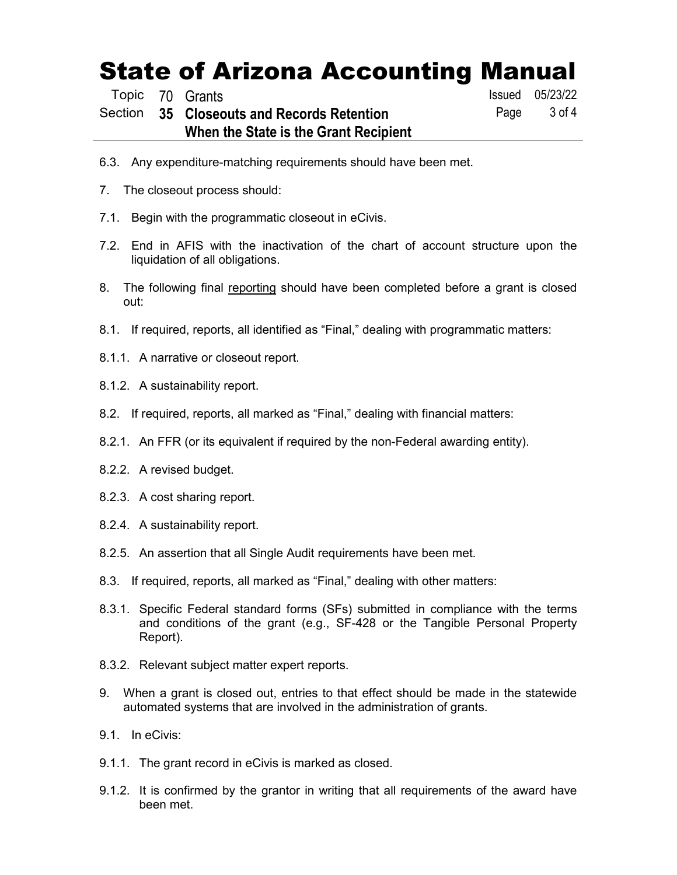Topic 70 Grants **Issued 05/23/22** 

#### Section **35 Closeouts and Records Retention When the State is the Grant Recipient**

Page 3 of 4

- 6.3. Any expenditure-matching requirements should have been met.
- 7. The closeout process should:
- 7.1. Begin with the programmatic closeout in eCivis.
- 7.2. End in AFIS with the inactivation of the chart of account structure upon the liquidation of all obligations.
- 8. The following final reporting should have been completed before a grant is closed out:
- 8.1. If required, reports, all identified as "Final," dealing with programmatic matters:
- 8.1.1. A narrative or closeout report.
- 8.1.2. A sustainability report.
- 8.2. If required, reports, all marked as "Final," dealing with financial matters:
- 8.2.1. An FFR (or its equivalent if required by the non-Federal awarding entity).
- 8.2.2. A revised budget.
- 8.2.3. A cost sharing report.
- 8.2.4. A sustainability report.
- 8.2.5. An assertion that all Single Audit requirements have been met.
- 8.3. If required, reports, all marked as "Final," dealing with other matters:
- 8.3.1. Specific Federal standard forms (SFs) submitted in compliance with the terms and conditions of the grant (e.g., SF-428 or the Tangible Personal Property Report).
- 8.3.2. Relevant subject matter expert reports.
- 9. When a grant is closed out, entries to that effect should be made in the statewide automated systems that are involved in the administration of grants.
- 9.1. In eCivis:
- 9.1.1. The grant record in eCivis is marked as closed.
- 9.1.2. It is confirmed by the grantor in writing that all requirements of the award have been met.